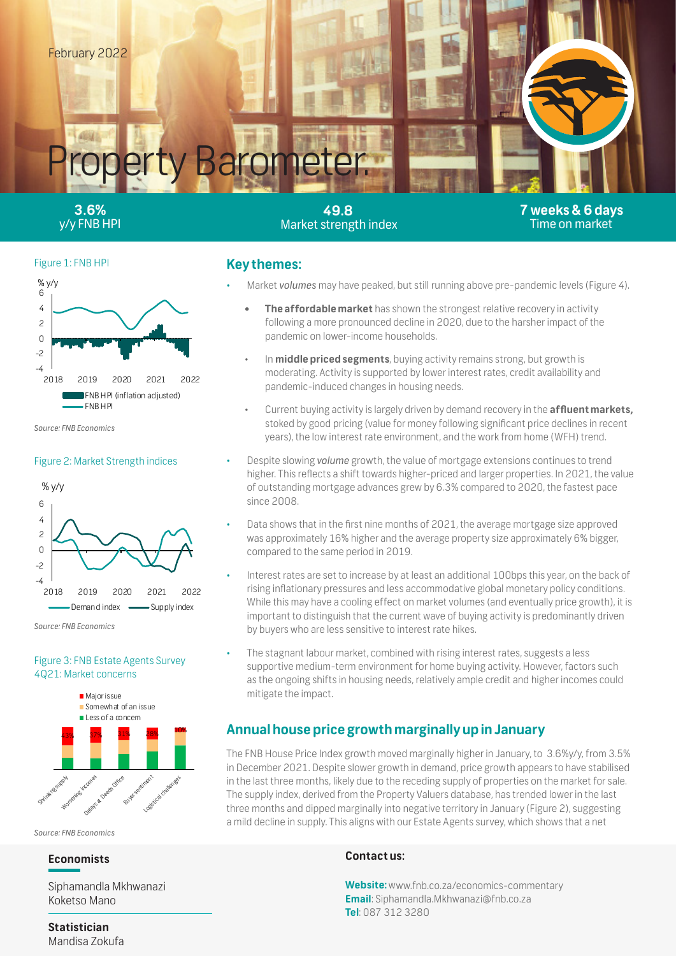

**3.6%**  y/y FNB HPI

**49.8**  Market strength index **7 weeks & 6 days** Time on market

### Figure 1: FNB HPI



*Source: FNB Economics*

#### Figure 2: Market Strength indices





## Figure 3: FNB Estate Agents Survey 4Q21: Market concerns



*Source: FNB Economics*

## **Economists**

ľ Siphamandla Mkhwanazi Koketso Mano

## **Key themes:**

- Market *volumes* may have peaked, but still running above pre-pandemic levels (Figure 4).
	- **The affordable market** has shown the strongest relative recovery in activity following a more pronounced decline in 2020, due to the harsher impact of the pandemic on lower-income households.
	- In **middle priced segments**, buying activity remains strong, but growth is moderating. Activity is supported by lower interest rates, credit availability and pandemic-induced changes in housing needs.
	- Current buying activity is largely driven by demand recovery in the **affluent markets,**  stoked by good pricing (value for money following significant price declines in recent years), the low interest rate environment, and the work from home (WFH) trend.
- Despite slowing *volume* growth, the value of mortgage extensions continues to trend higher. This reflects a shift towards higher-priced and larger properties. In 2021, the value of outstanding mortgage advances grew by 6.3% compared to 2020, the fastest pace since 2008.
- Data shows that in the first nine months of 2021, the average mortgage size approved was approximately 16% higher and the average property size approximately 6% bigger, compared to the same period in 2019.
- Interest rates are set to increase by at least an additional 100bps this year, on the back of rising inflationary pressures and less accommodative global monetary policy conditions. While this may have a cooling effect on market volumes (and eventually price growth), it is important to distinguish that the current wave of buying activity is predominantly driven by buyers who are less sensitive to interest rate hikes.
- The stagnant labour market, combined with rising interest rates, suggests a less supportive medium-term environment for home buying activity. However, factors such as the ongoing shifts in housing needs, relatively ample credit and higher incomes could mitigate the impact.

# **Annual house price growth marginally up in January**

The FNB House Price Index growth moved marginally higher in January, to 3.6%y/y, from 3.5% in December 2021. Despite slower growth in demand, price growth appears to have stabilised in the last three months, likely due to the receding supply of properties on the market for sale. The supply index, derived from the Property Valuers database, has trended lower in the last three months and dipped marginally into negative territory in January (Figure 2), suggesting a mild decline in supply. This aligns with our Estate Agents survey, which shows that a net

## **Contact us:**

**Website:** www.fnb.co.za/economics-commentary **Email**: Siphamandla.Mkhwanazi@fnb.co.za **Tel**: 087 312 3280

**Statistician** Mandisa Zokufa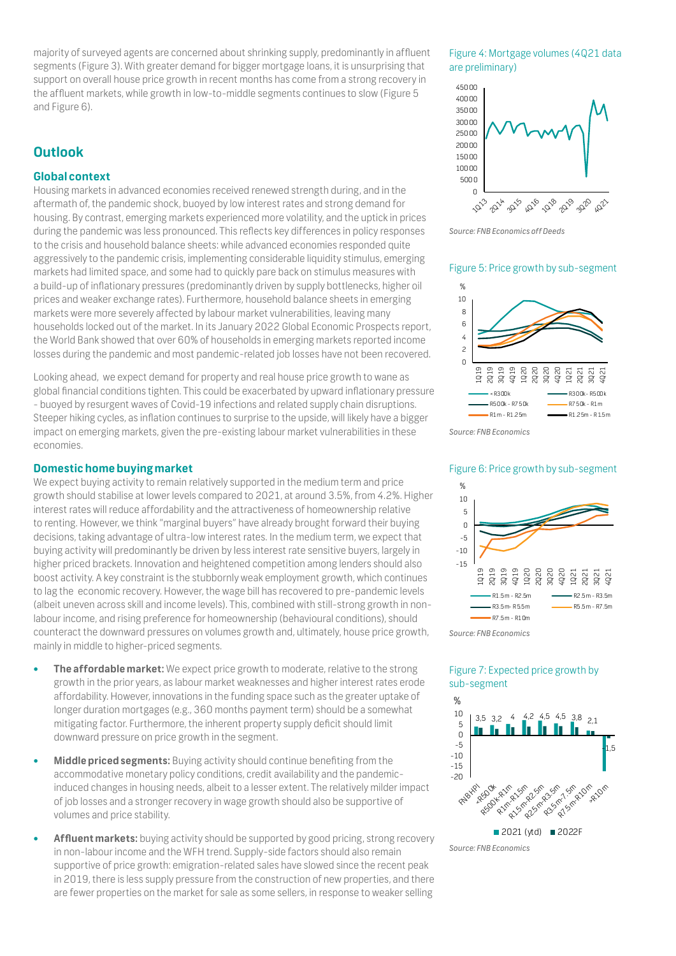majority of surveyed agents are concerned about shrinking supply, predominantly in affluent segments (Figure 3). With greater demand for bigger mortgage loans, it is unsurprising that support on overall house price growth in recent months has come from a strong recovery in the affluent markets, while growth in low-to-middle segments continues to slow (Figure 5 and Figure 6).

# **Outlook**

## **Global context**

Housing markets in advanced economies received renewed strength during, and in the aftermath of, the pandemic shock, buoyed by low interest rates and strong demand for housing. By contrast, emerging markets experienced more volatility, and the uptick in prices during the pandemic was less pronounced. This reflects key differences in policy responses to the crisis and household balance sheets: while advanced economies responded quite aggressively to the pandemic crisis, implementing considerable liquidity stimulus, emerging markets had limited space, and some had to quickly pare back on stimulus measures with a build-up of inflationary pressures (predominantly driven by supply bottlenecks, higher oil prices and weaker exchange rates). Furthermore, household balance sheets in emerging markets were more severely affected by labour market vulnerabilities, leaving many households locked out of the market. In its January 2022 Global Economic Prospects report, the World Bank showed that over 60% of households in emerging markets reported income losses during the pandemic and most pandemic-related job losses have not been recovered.

Looking ahead, we expect demand for property and real house price growth to wane as global financial conditions tighten. This could be exacerbated by upward inflationary pressure - buoyed by resurgent waves of Covid-19 infections and related supply chain disruptions. Steeper hiking cycles, as inflation continues to surprise to the upside, will likely have a bigger impact on emerging markets, given the pre-existing labour market vulnerabilities in these economies.

### **Domestic home buying market**

We expect buying activity to remain relatively supported in the medium term and price growth should stabilise at lower levels compared to 2021, at around 3.5%, from 4.2%. Higher interest rates will reduce affordability and the attractiveness of homeownership relative to renting. However, we think "marginal buyers" have already brought forward their buying decisions, taking advantage of ultra-low interest rates. In the medium term, we expect that buying activity will predominantly be driven by less interest rate sensitive buyers, largely in higher priced brackets. Innovation and heightened competition among lenders should also boost activity. A key constraint is the stubbornly weak employment growth, which continues to lag the economic recovery. However, the wage bill has recovered to pre-pandemic levels (albeit uneven across skill and income levels). This, combined with still-strong growth in nonlabour income, and rising preference for homeownership (behavioural conditions), should counteract the downward pressures on volumes growth and, ultimately, house price growth, mainly in middle to higher-priced segments.

- **• The affordable market:** We expect price growth to moderate, relative to the strong growth in the prior years, as labour market weaknesses and higher interest rates erode affordability. However, innovations in the funding space such as the greater uptake of longer duration mortgages (e.g., 360 months payment term) should be a somewhat mitigating factor. Furthermore, the inherent property supply deficit should limit downward pressure on price growth in the segment.
- **• Middle priced segments:** Buying activity should continue benefiting from the accommodative monetary policy conditions, credit availability and the pandemicinduced changes in housing needs, albeit to a lesser extent. The relatively milder impact of job losses and a stronger recovery in wage growth should also be supportive of volumes and price stability.
- **• Affluent markets:** buying activity should be supported by good pricing, strong recovery in non-labour income and the WFH trend. Supply-side factors should also remain supportive of price growth: emigration-related sales have slowed since the recent peak in 2019, there is less supply pressure from the construction of new properties, and there are fewer properties on the market for sale as some sellers, in response to weaker selling

### Figure 4: Mortgage volumes (4Q21 data are preliminary)



*Source: FNB Economics off Deeds*

#### Figure 5: Price growth by sub-segment



*Source: FNB Economics*

### Figure 6: Price growth by sub-segment





## Figure 7: Expected price growth by sub-segment



*Source: FNB Economics*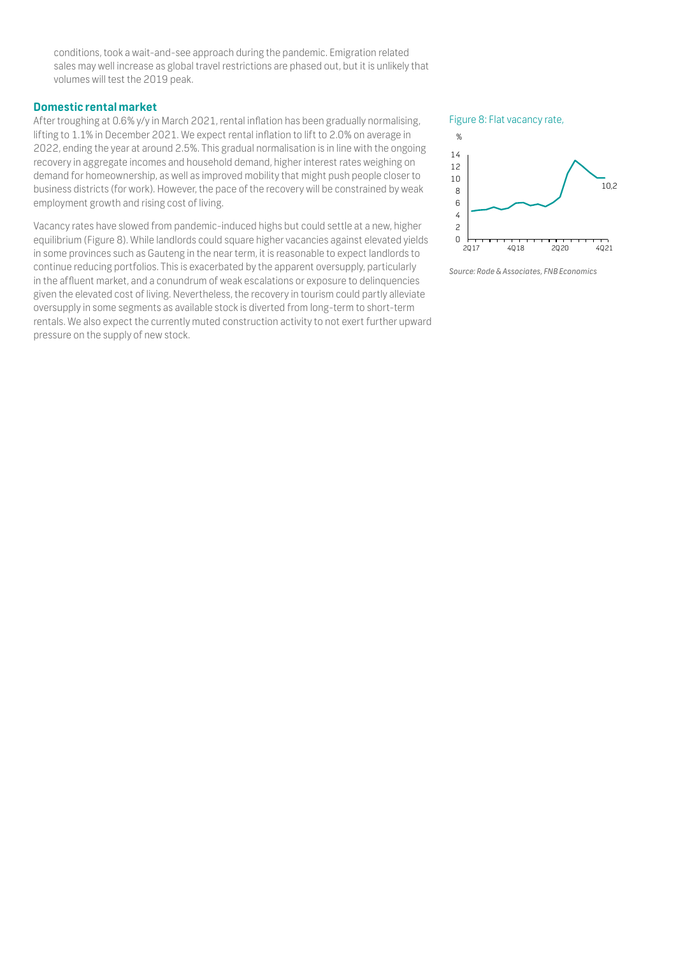conditions, took a wait-and-see approach during the pandemic. Emigration related sales may well increase as global travel restrictions are phased out, but it is unlikely that volumes will test the 2019 peak.

## **Domestic rental market**

After troughing at 0.6% y/y in March 2021, rental inflation has been gradually normalising, lifting to 1.1% in December 2021. We expect rental inflation to lift to 2.0% on average in 2022, ending the year at around 2.5%. This gradual normalisation is in line with the ongoing recovery in aggregate incomes and household demand, higher interest rates weighing on demand for homeownership, as well as improved mobility that might push people closer to business districts (for work). However, the pace of the recovery will be constrained by weak employment growth and rising cost of living.

Vacancy rates have slowed from pandemic-induced highs but could settle at a new, higher equilibrium (Figure 8). While landlords could square higher vacancies against elevated yields in some provinces such as Gauteng in the near term, it is reasonable to expect landlords to continue reducing portfolios. This is exacerbated by the apparent oversupply, particularly in the affluent market, and a conundrum of weak escalations or exposure to delinquencies given the elevated cost of living. Nevertheless, the recovery in tourism could partly alleviate oversupply in some segments as available stock is diverted from long-term to short-term rentals. We also expect the currently muted construction activity to not exert further upward pressure on the supply of new stock.

#### Figure 8: Flat vacancy rate,



*Source: Rode & Associates, FNB Economics*